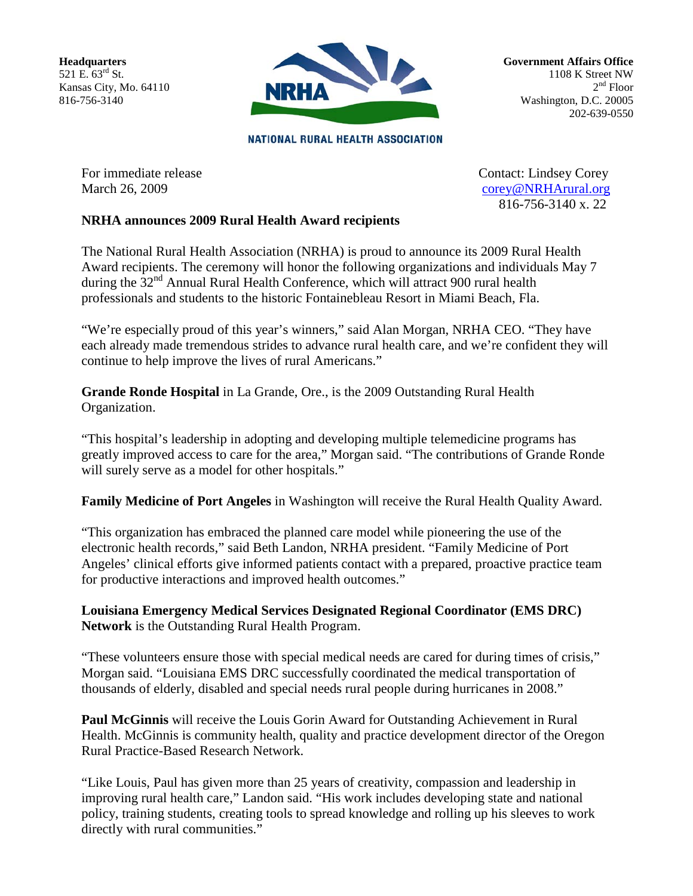**Headquarters** 521 E.  $63^{rd}$  St. Kansas City, Mo. 64110 816-756-3140



**Government Affairs Office** 1108 K Street NW  $2<sup>nd</sup>$  Floor Washington, D.C. 20005 202-639-0550

**NATIONAL RURAL HEALTH ASSOCIATION** 

For immediate release Contact: Lindsey Corey March 26, 2009 [corey@NRHArural.org](mailto:corey@NRHArural.org) 816-756-3140 x. 22

## **NRHA announces 2009 Rural Health Award recipients**

The National Rural Health Association (NRHA) is proud to announce its 2009 Rural Health Award recipients. The ceremony will honor the following organizations and individuals May 7 during the  $32<sup>nd</sup>$  Annual Rural Health Conference, which will attract 900 rural health professionals and students to the historic Fontainebleau Resort in Miami Beach, Fla.

"We're especially proud of this year's winners," said Alan Morgan, NRHA CEO. "They have each already made tremendous strides to advance rural health care, and we're confident they will continue to help improve the lives of rural Americans."

**Grande Ronde Hospital** in La Grande, Ore., is the 2009 Outstanding Rural Health Organization.

"This hospital's leadership in adopting and developing multiple telemedicine programs has greatly improved access to care for the area," Morgan said. "The contributions of Grande Ronde will surely serve as a model for other hospitals."

**Family Medicine of Port Angeles** in Washington will receive the Rural Health Quality Award.

"This organization has embraced the planned care model while pioneering the use of the electronic health records," said Beth Landon, NRHA president. "Family Medicine of Port Angeles' clinical efforts give informed patients contact with a prepared, proactive practice team for productive interactions and improved health outcomes."

**Louisiana Emergency Medical Services Designated Regional Coordinator (EMS DRC) Network** is the Outstanding Rural Health Program.

"These volunteers ensure those with special medical needs are cared for during times of crisis," Morgan said. "Louisiana EMS DRC successfully coordinated the medical transportation of thousands of elderly, disabled and special needs rural people during hurricanes in 2008."

**Paul McGinnis** will receive the Louis Gorin Award for Outstanding Achievement in Rural Health. McGinnis is community health, quality and practice development director of the Oregon Rural Practice-Based Research Network.

"Like Louis, Paul has given more than 25 years of creativity, compassion and leadership in improving rural health care," Landon said. "His work includes developing state and national policy, training students, creating tools to spread knowledge and rolling up his sleeves to work directly with rural communities."